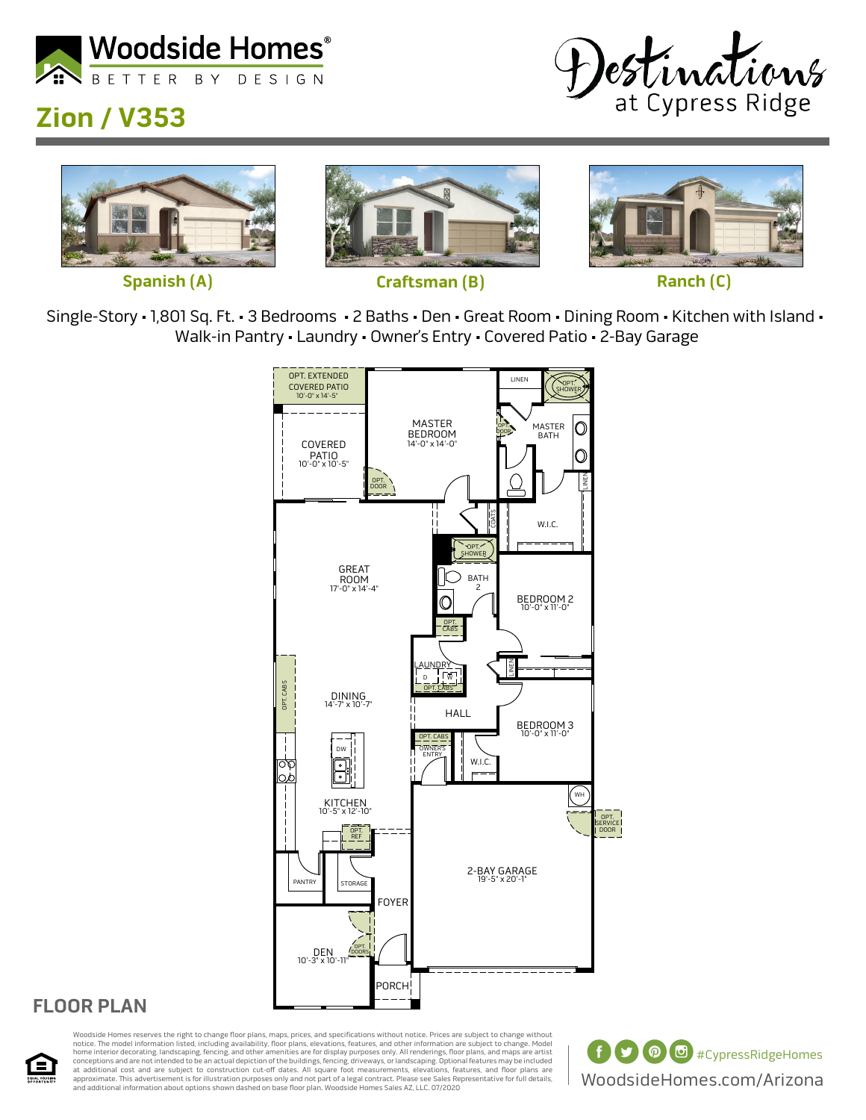

# **Zion / V353**





Single-Story • 1,801 Sq. Ft. • 3 Bedrooms • 2 Baths • Den • Great Room • Dining Room • Kitchen with Island • Walk-in Pantry • Laundry • Owner's Entry • Covered Patio • 2-Bay Garage



### **FLOOR PLAN**



Woodside Homes reserves the right to change floor plans, maps, prices, and specifications without notice. Prices are subject to change without notice. The model information listed, including availability, floor plans, elevations, features, and other information are subject to change. Model<br>home interior decorating, landscaping, fencing, and other amenities are fo at additional cost and are subject to construction cut-off dates. All square foot measurements, elevations, features, and floor plans are<br>approximate. This advertisement is for illustration purposes only and not part of a